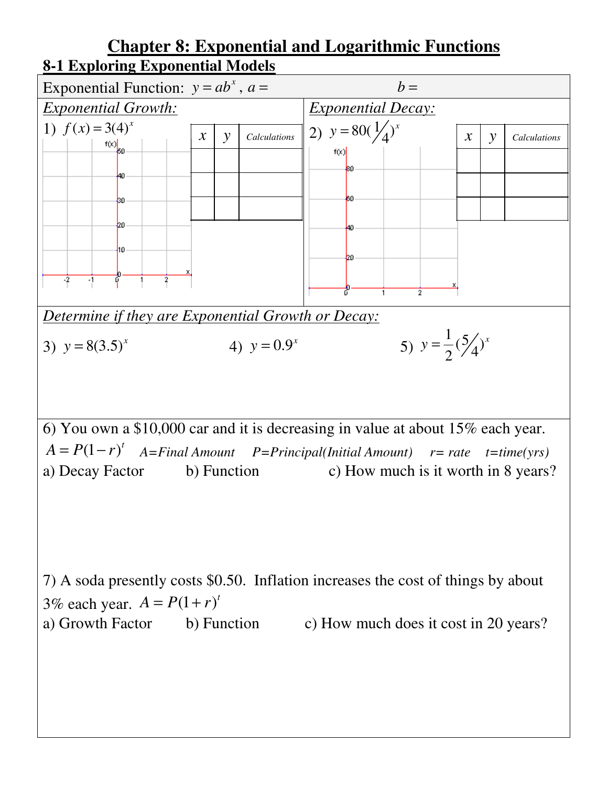## **Chapter 8: Exponential and Logarithmic Functions 8-1 Exploring Exponential Models**



 $A = P(1 - r)^t$  *A*=Final Amount *P*=Principal(Initial Amount) *r*= rate *t*=time(yrs) a) Decay Factor b) Function c) How much is it worth in 8 years?

7) A soda presently costs \$0.50. Inflation increases the cost of things by about 3% each year.  $A = P(1 + r)^t$ a) Growth Factor b) Function c) How much does it cost in 20 years?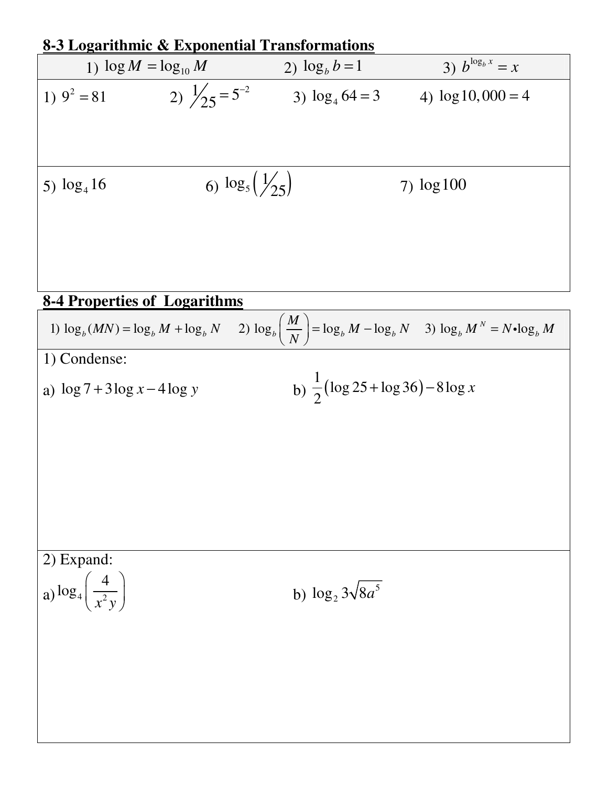| 8-3 Logarithmic & Exponential Transformations        |                            |                           |                                            |                                                                                                                                         |  |  |
|------------------------------------------------------|----------------------------|---------------------------|--------------------------------------------|-----------------------------------------------------------------------------------------------------------------------------------------|--|--|
| 1) $\log M = \log_{10} M$                            |                            | 2) $\log_b b = 1$         |                                            | 3) $b^{\log_b x} = x$                                                                                                                   |  |  |
| 1) $9^2 = 81$                                        | 2) $\frac{1}{25} = 5^{-2}$ |                           | 3) $\log_4 64 = 3$                         | 4) $\log 10,000 = 4$                                                                                                                    |  |  |
| 5) $\log_4 16$                                       |                            | 6) $\log_5(\frac{1}{25})$ |                                            | $7)$ $log100$                                                                                                                           |  |  |
| <b>8-4 Properties of Logarithms</b>                  |                            |                           |                                            |                                                                                                                                         |  |  |
|                                                      |                            |                           |                                            | 1) $\log_b(MN) = \log_b M + \log_b N$ (2) $\log_b \left( \frac{M}{N} \right) = \log_b M - \log_b N$ (3) $\log_b M^N = N \cdot \log_b M$ |  |  |
| 1) Condense:                                         |                            |                           |                                            |                                                                                                                                         |  |  |
| a) $\log 7 + 3\log x - 4\log y$                      |                            |                           | b) $\frac{1}{2}$ (log 25+log 36) – 8 log x |                                                                                                                                         |  |  |
|                                                      |                            |                           |                                            |                                                                                                                                         |  |  |
|                                                      |                            |                           |                                            |                                                                                                                                         |  |  |
|                                                      |                            |                           |                                            |                                                                                                                                         |  |  |
| 2) Expand:<br>a) $\log_4\left(\frac{4}{x^2y}\right)$ |                            | b) $\log_2 3\sqrt{8a^5}$  |                                            |                                                                                                                                         |  |  |
|                                                      |                            |                           |                                            |                                                                                                                                         |  |  |
|                                                      |                            |                           |                                            |                                                                                                                                         |  |  |
|                                                      |                            |                           |                                            |                                                                                                                                         |  |  |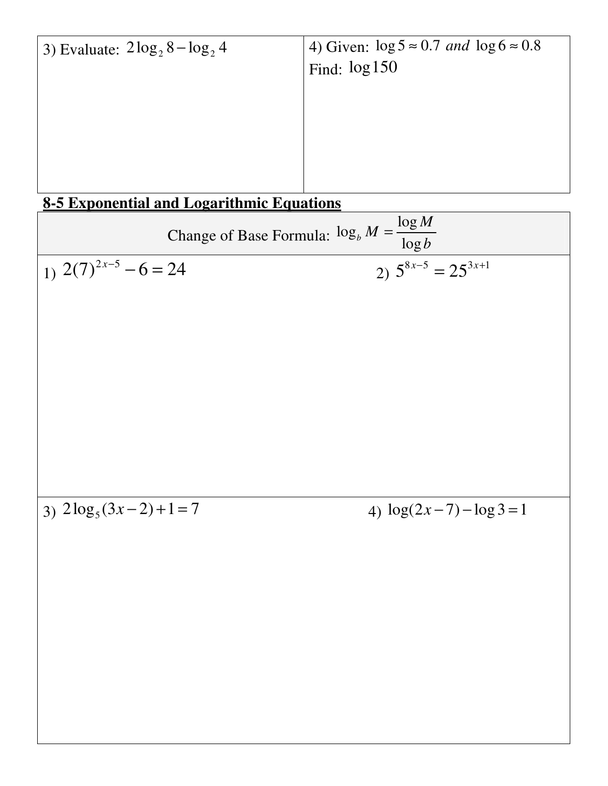3) Evaluate:  $2 \log_2 8 - \log_2 4$   $\boxed{4}$  Given:  $\log 5 \approx 0.7$  and  $\log 6 \approx 0.8$ Find: log150

## **8-5 Exponential and Logarithmic Equations**

Change of Base Formula:  $\log_b M = \frac{\log b}{\log b}$  $b^{11}$   $\log$ *M M b* = 1)  $2(7)^{2x-5}$  – 6 = 24  $-6 = 24$  2)  $5^{8x-5} = 25^{3x+1}$ 

3)  $2\log_5(3x-2)+1=7$ 

4)  $\log(2x - 7) - \log 3 = 1$